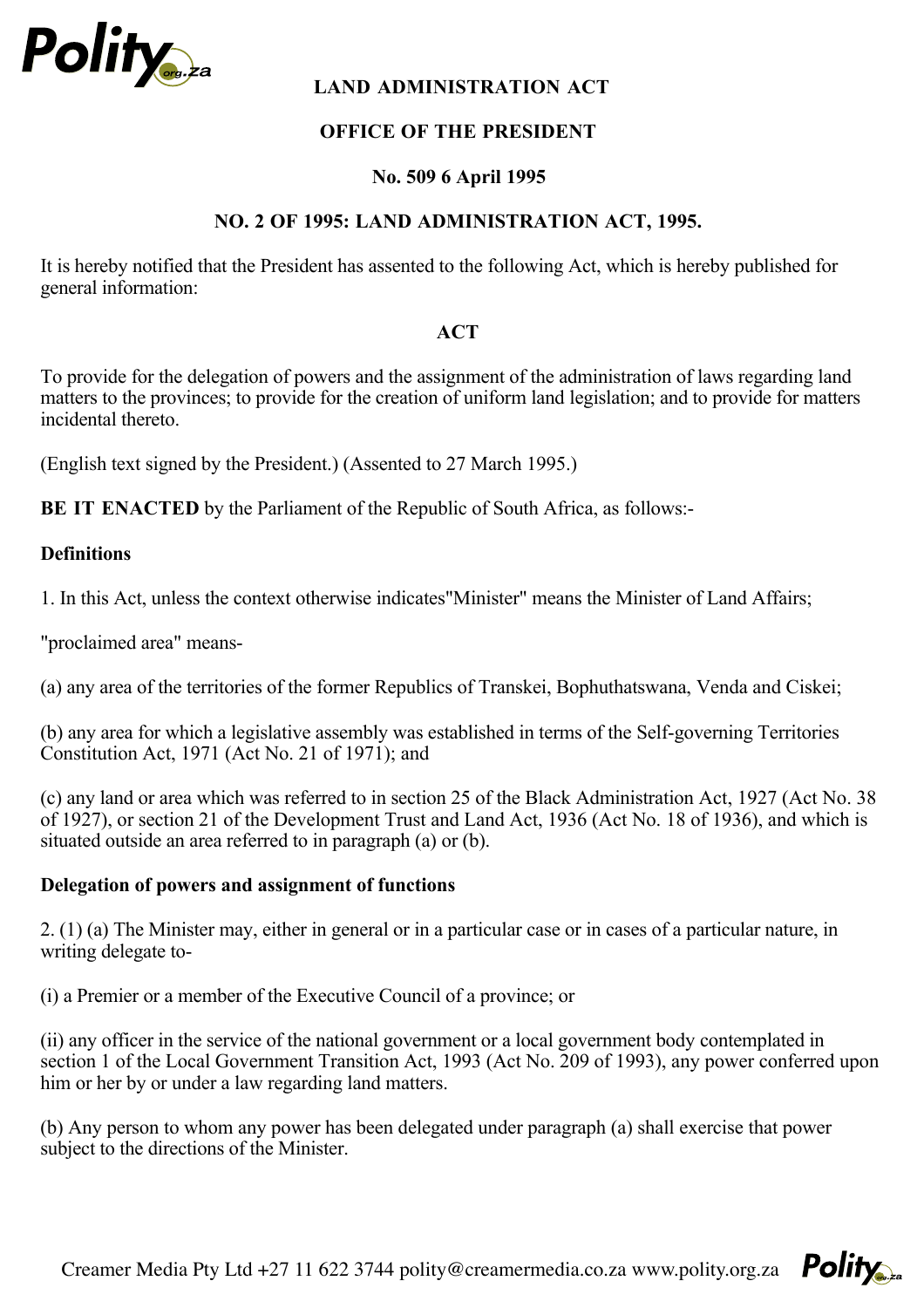

# **LAND ADMINISTRATION ACT**

# **OFFICE OF THE PRESIDENT**

### **No. 509 6 April 1995**

#### **NO. 2 OF 1995: LAND ADMINISTRATION ACT, 1995.**

It is hereby notified that the President has assented to the following Act, which is hereby published for general information:

#### **ACT**

To provide for the delegation of powers and the assignment of the administration of laws regarding land matters to the provinces; to provide for the creation of uniform land legislation; and to provide for matters incidental thereto.

(English text signed by the President.) (Assented to 27 March 1995.)

**BE IT ENACTED** by the Parliament of the Republic of South Africa, as follows:-

### **Definitions**

1. In this Act, unless the context otherwise indicates"Minister" means the Minister of Land Affairs;

"proclaimed area" means-

(a) any area of the territories of the former Republics of Transkei, Bophuthatswana, Venda and Ciskei;

(b) any area for which a legislative assembly was established in terms of the Self-governing Territories Constitution Act, 1971 (Act No. 21 of 1971); and

(c) any land or area which was referred to in section 25 of the Black Administration Act, 1927 (Act No. 38 of 1927), or section 21 of the Development Trust and Land Act, 1936 (Act No. 18 of 1936), and which is situated outside an area referred to in paragraph (a) or (b).

#### **Delegation of powers and assignment of functions**

2. (1) (a) The Minister may, either in general or in a particular case or in cases of a particular nature, in writing delegate to-

(i) a Premier or a member of the Executive Council of a province; or

(ii) any officer in the service of the national government or a local government body contemplated in section 1 of the Local Government Transition Act, 1993 (Act No. 209 of 1993), any power conferred upon him or her by or under a law regarding land matters.

(b) Any person to whom any power has been delegated under paragraph (a) shall exercise that power subject to the directions of the Minister.

Creamer Media Pty Ltd +27 11 622 3744 polity@creamermedia.co.za www.polity.org.za  $P_{\text{O}}$ 

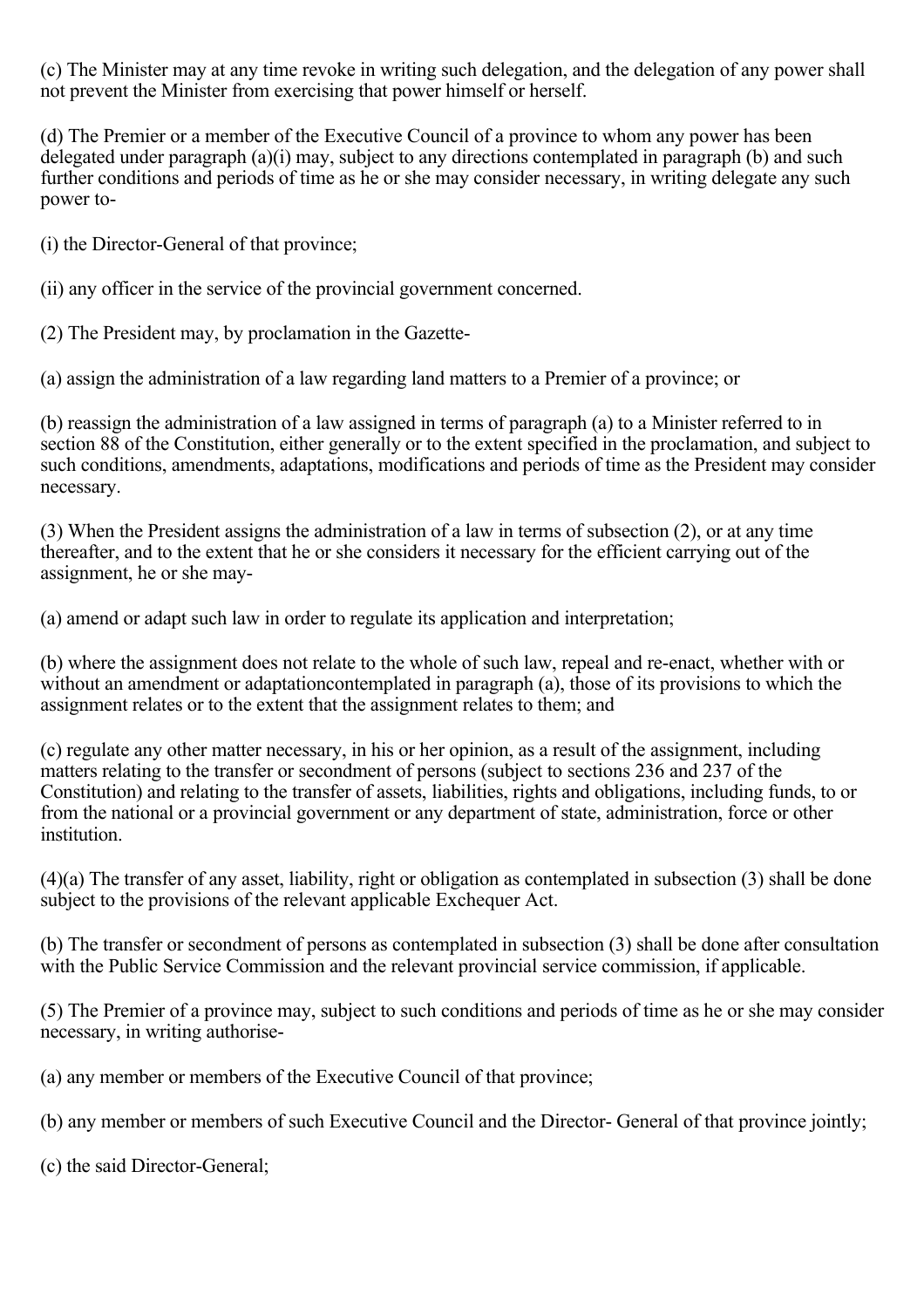(c) The Minister may at any time revoke in writing such delegation, and the delegation of any power shall not prevent the Minister from exercising that power himself or herself.

(d) The Premier or a member of the Executive Council of a province to whom any power has been delegated under paragraph (a)(i) may, subject to any directions contemplated in paragraph (b) and such further conditions and periods of time as he or she may consider necessary, in writing delegate any such power to-

(i) the Director-General of that province;

(ii) any officer in the service of the provincial government concerned.

(2) The President may, by proclamation in the Gazette-

(a) assign the administration of a law regarding land matters to a Premier of a province; or

(b) reassign the administration of a law assigned in terms of paragraph (a) to a Minister referred to in section 88 of the Constitution, either generally or to the extent specified in the proclamation, and subject to such conditions, amendments, adaptations, modifications and periods of time as the President may consider necessary.

(3) When the President assigns the administration of a law in terms of subsection (2), or at any time thereafter, and to the extent that he or she considers it necessary for the efficient carrying out of the assignment, he or she may-

(a) amend or adapt such law in order to regulate its application and interpretation;

(b) where the assignment does not relate to the whole of such law, repeal and re-enact, whether with or without an amendment or adaptationcontemplated in paragraph (a), those of its provisions to which the assignment relates or to the extent that the assignment relates to them; and

(c) regulate any other matter necessary, in his or her opinion, as a result of the assignment, including matters relating to the transfer or secondment of persons (subject to sections 236 and 237 of the Constitution) and relating to the transfer of assets, liabilities, rights and obligations, including funds, to or from the national or a provincial government or any department of state, administration, force or other institution.

(4)(a) The transfer of any asset, liability, right or obligation as contemplated in subsection (3) shall be done subject to the provisions of the relevant applicable Exchequer Act.

(b) The transfer or secondment of persons as contemplated in subsection (3) shall be done after consultation with the Public Service Commission and the relevant provincial service commission, if applicable.

(5) The Premier of a province may, subject to such conditions and periods of time as he or she may consider necessary, in writing authorise-

(a) any member or members of the Executive Council of that province;

(b) any member or members of such Executive Council and the Director- General of that province jointly;

(c) the said Director-General;